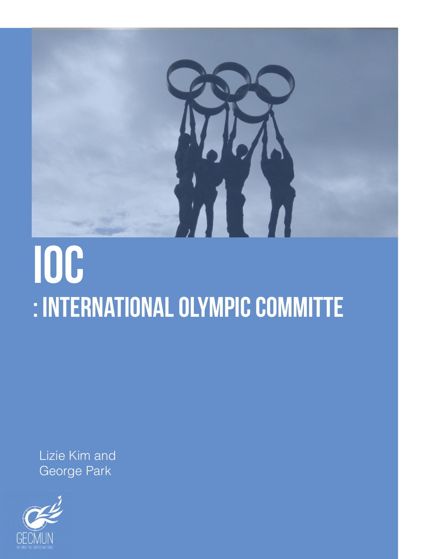

## ioc : international olympic committe

Lizie Kim and George Park

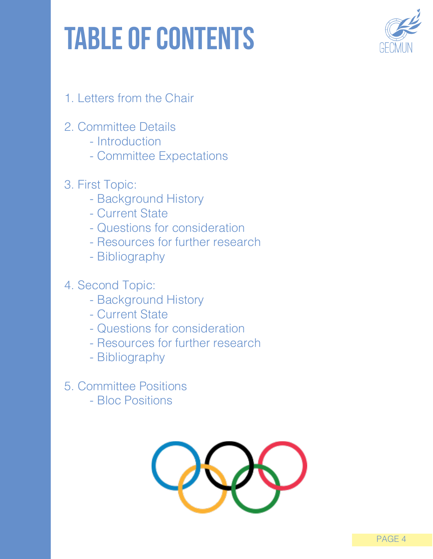## table of contents



- 1. Letters from the Chair
- 2. Committee Details
	- Introduction
	- Committee Expectations
- 3. First Topic:
	- Background History
	- Current State
	- Questions for consideration
	- Resources for further research
	- Bibliography
- 4. Second Topic:
	- Background History
	- Current State
	- Questions for consideration
	- Resources for further research
	- Bibliography
- 5. Committee Positions
	- Bloc Positions

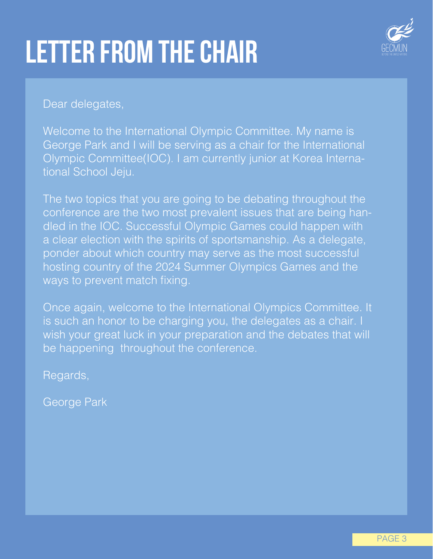## letter from the chair



Dear delegates,

Welcome to the International Olympic Committee. My name is George Park and I will be serving as a chair for the International Olympic Committee(IOC). I am currently junior at Korea International School Jeju.

The two topics that you are going to be debating throughout the conference are the two most prevalent issues that are being handled in the IOC. Successful Olympic Games could happen with a clear election with the spirits of sportsmanship. As a delegate, ponder about which country may serve as the most successful hosting country of the 2024 Summer Olympics Games and the ways to prevent match fixing.

Once again, welcome to the International Olympics Committee. It is such an honor to be charging you, the delegates as a chair. I wish your great luck in your preparation and the debates that will be happening throughout the conference.

Regards,

George Park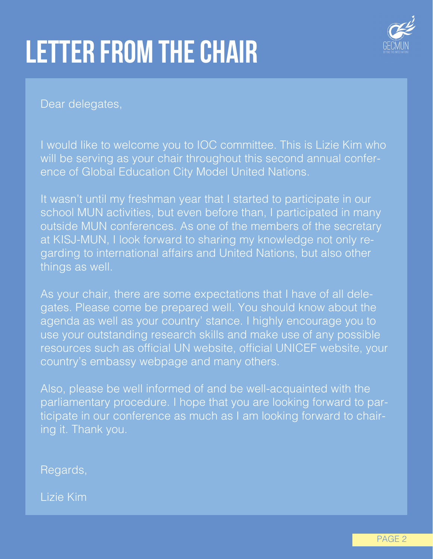## letter from the chair



Dear delegates,

I would like to welcome you to IOC committee. This is Lizie Kim who will be serving as your chair throughout this second annual conference of Global Education City Model United Nations.

It wasn't until my freshman year that I started to participate in our school MUN activities, but even before than, I participated in many outside MUN conferences. As one of the members of the secretary at KISJ-MUN, I look forward to sharing my knowledge not only regarding to international affairs and United Nations, but also other things as well.

As your chair, there are some expectations that I have of all delegates. Please come be prepared well. You should know about the agenda as well as your country' stance. I highly encourage you to use your outstanding research skills and make use of any possible resources such as official UN website, official UNICEF website, your country's embassy webpage and many others.

Also, please be well informed of and be well-acquainted with the parliamentary procedure. I hope that you are looking forward to participate in our conference as much as I am looking forward to chairing it. Thank you.

Regards,

Lizie Kim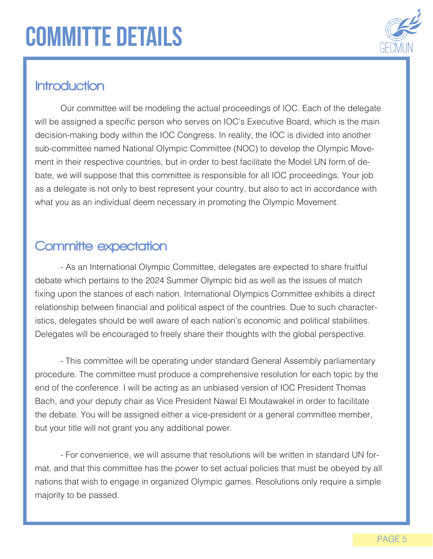## committe details



### **Introduction**

Our committee will be modeling the actual proceedings of IOC. Each of the delegate will be assigned a specific person who serves on IOC's Executive Board, which is the main decision-making body within the IOC Congress. In reality, the IOC is divided into another sub-committee named National Olympic Committee (NOC) to develop the Olympic Movement in their respective countries, but in order to best facilitate the Model UN form of debate, we will suppose that this committee is responsible for all IOC proceedings. Your job as a delegate is not only to best represent your country, but also to act in accordance with what you as an individual deem necessary in promoting the Olympic Movement.

### Committe expectation

- As an International Olympic Committee, delegates are expected to share fruitful debate which pertains to the 2024 Summer Olympic bid as well as the issues of match fixing upon the stances of each nation. International Olympics Committee exhibits a direct relationship between financial and political aspect of the countries. Due to such characteristics, delegates should be well aware of each nation's economic and political stabilities. Delegates will be encouraged to freely share their thoughts with the global perspective.

- This committee will be operating under standard General Assembly parliamentary procedure. The committee must produce a comprehensive resolution for each topic by the end of the conference. I will be acting as an unbiased version of IOC President Thomas Bach, and your deputy chair as Vice President Nawal El Moutawakel in order to facilitate the debate. You will be assigned either a vice-president or a general committee member, but your title will not grant you any additional power.

- For convenience, we will assume that resolutions will be written in standard UN format, and that this committee has the power to set actual policies that must be obeyed by all nations that wish to engage in organized Olympic games. Resolutions only require a simple majority to be passed.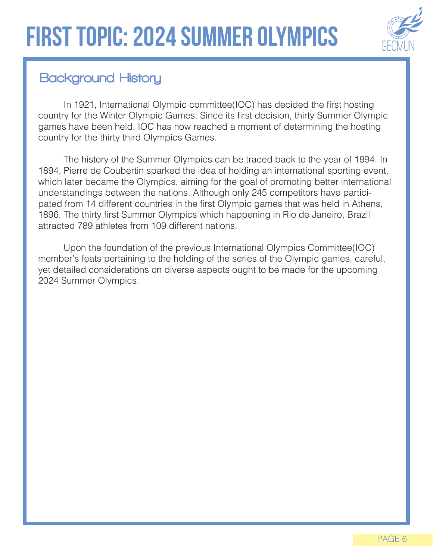

## Background History

In 1921, International Olympic committee(IOC) has decided the first hosting country for the Winter Olympic Games. Since its first decision, thirty Summer Olympic games have been held. IOC has now reached a moment of determining the hosting country for the thirty third Olympics Games.

The history of the Summer Olympics can be traced back to the year of 1894. In 1894, Pierre de Coubertin sparked the idea of holding an international sporting event, which later became the Olympics, aiming for the goal of promoting better international understandings between the nations. Although only 245 competitors have participated from 14 different countries in the first Olympic games that was held in Athens, 1896. The thirty first Summer Olympics which happening in Rio de Janeiro, Brazil attracted 789 athletes from 109 different nations.

Upon the foundation of the previous International Olympics Committee(IOC) member's feats pertaining to the holding of the series of the Olympic games, careful, yet detailed considerations on diverse aspects ought to be made for the upcoming 2024 Summer Olympics.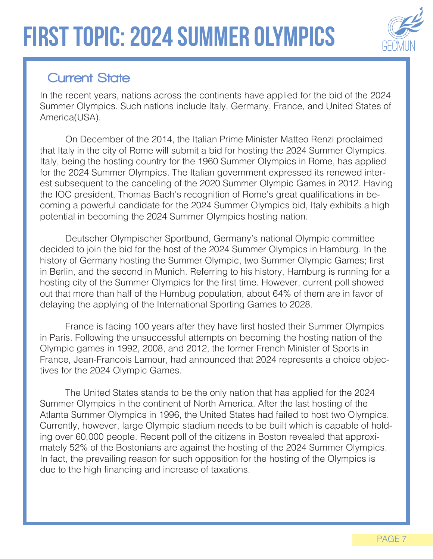## first topic: 2024 summer olympics



## **Current State**

In the recent years, nations across the continents have applied for the bid of the 2024 Summer Olympics. Such nations include Italy, Germany, France, and United States of America(USA).

On December of the 2014, the Italian Prime Minister Matteo Renzi proclaimed that Italy in the city of Rome will submit a bid for hosting the 2024 Summer Olympics. Italy, being the hosting country for the 1960 Summer Olympics in Rome, has applied for the 2024 Summer Olympics. The Italian government expressed its renewed interest subsequent to the canceling of the 2020 Summer Olympic Games in 2012. Having the IOC president, Thomas Bach's recognition of Rome's great qualifications in becoming a powerful candidate for the 2024 Summer Olympics bid, Italy exhibits a high potential in becoming the 2024 Summer Olympics hosting nation.

Deutscher Olympischer Sportbund, Germany's national Olympic committee decided to join the bid for the host of the 2024 Summer Olympics in Hamburg. In the history of Germany hosting the Summer Olympic, two Summer Olympic Games; first in Berlin, and the second in Munich. Referring to his history, Hamburg is running for a hosting city of the Summer Olympics for the first time. However, current poll showed out that more than half of the Humbug population, about 64% of them are in favor of delaying the applying of the International Sporting Games to 2028.

France is facing 100 years after they have first hosted their Summer Olympics in Paris. Following the unsuccessful attempts on becoming the hosting nation of the Olympic games in 1992, 2008, and 2012, the former French Minister of Sports in France, Jean-Francois Lamour, had announced that 2024 represents a choice objectives for the 2024 Olympic Games.

The United States stands to be the only nation that has applied for the 2024 Summer Olympics in the continent of North America. After the last hosting of the Atlanta Summer Olympics in 1996, the United States had failed to host two Olympics. Currently, however, large Olympic stadium needs to be built which is capable of holding over 60,000 people. Recent poll of the citizens in Boston revealed that approximately 52% of the Bostonians are against the hosting of the 2024 Summer Olympics. In fact, the prevailing reason for such opposition for the hosting of the Olympics is due to the high financing and increase of taxations.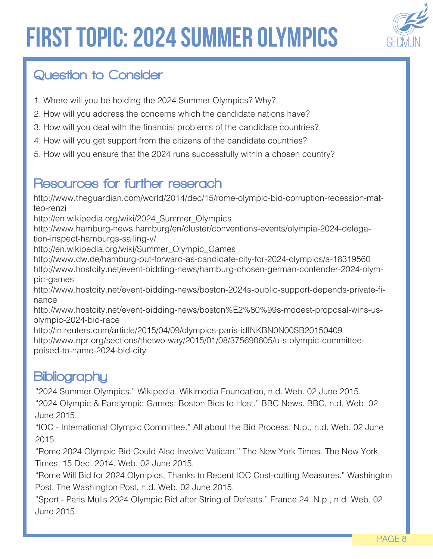## first topic: 2024 summer olympics



## Question to Consider

- 1. Where will you be holding the 2024 Summer Olympics? Why?
- 2. How will you address the concerns which the candidate nations have?
- 3. How will you deal with the financial problems of the candidate countries?
- 4. How will you get support from the citizens of the candidate countries?
- 5. How will you ensure that the 2024 runs successfully within a chosen country?

### Resources for further reserach

http://www.theguardian.com/world/2014/dec/15/rome-olympic-bid-corruption-recession-matteo-renzi

http://en.wikipedia.org/wiki/2024\_Summer\_Olympics

http://www.hamburg-news.hamburg/en/cluster/conventions-events/olympia-2024-delegation-inspect-hamburgs-sailing-v/

http://en.wikipedia.org/wiki/Summer\_Olympic\_Games

http://www.dw.de/hamburg-put-forward-as-candidate-city-for-2024-olympics/a-18319560 http://www.hostcity.net/event-bidding-news/hamburg-chosen-german-contender-2024-olympic-games

http://www.hostcity.net/event-bidding-news/boston-2024s-public-support-depends-private-finance

http://www.hostcity.net/event-bidding-news/boston%E2%80%99s-modest-proposal-wins-usolympic-2024-bid-race

http://in.reuters.com/article/2015/04/09/olympics-paris-idINKBN0N00SB20150409 http://www.npr.org/sections/thetwo-way/2015/01/08/375690605/u-s-olympic-committeepoised-to-name-2024-bid-city

### **Bibliography**

"2024 Summer Olympics." Wikipedia. Wikimedia Foundation, n.d. Web. 02 June 2015. "2024 Olympic & Paralympic Games: Boston Bids to Host." BBC News. BBC, n.d. Web. 02 June 2015.

"IOC - International Olympic Committee." All about the Bid Process. N.p., n.d. Web. 02 June 2015.

"Rome 2024 Olympic Bid Could Also Involve Vatican." The New York Times. The New York Times, 15 Dec. 2014. Web. 02 June 2015.

"Rome Will Bid for 2024 Olympics, Thanks to Recent IOC Cost-cutting Measures." Washington Post. The Washington Post, n.d. Web. 02 June 2015.

"Sport - Paris Mulls 2024 Olympic Bid after String of Defeats." France 24. N.p., n.d. Web. 02 June 2015.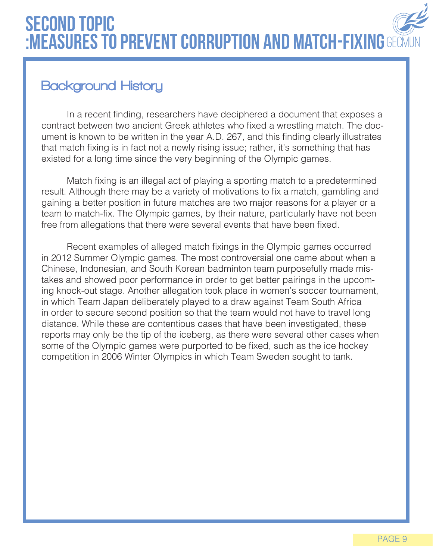## second topic :MEASURES TO PREVENT CORRUPTION AND MATCH-FIXING GECMUN

## Background History

In a recent finding, researchers have deciphered a document that exposes a contract between two ancient Greek athletes who fixed a wrestling match. The document is known to be written in the year A.D. 267, and this finding clearly illustrates that match fixing is in fact not a newly rising issue; rather, it's something that has existed for a long time since the very beginning of the Olympic games.

Match fixing is an illegal act of playing a sporting match to a predetermined result. Although there may be a variety of motivations to fix a match, gambling and gaining a better position in future matches are two major reasons for a player or a team to match-fix. The Olympic games, by their nature, particularly have not been free from allegations that there were several events that have been fixed.

Recent examples of alleged match fixings in the Olympic games occurred in 2012 Summer Olympic games. The most controversial one came about when a Chinese, Indonesian, and South Korean badminton team purposefully made mistakes and showed poor performance in order to get better pairings in the upcoming knock-out stage. Another allegation took place in women's soccer tournament, in which Team Japan deliberately played to a draw against Team South Africa in order to secure second position so that the team would not have to travel long distance. While these are contentious cases that have been investigated, these reports may only be the tip of the iceberg, as there were several other cases when some of the Olympic games were purported to be fixed, such as the ice hockey competition in 2006 Winter Olympics in which Team Sweden sought to tank.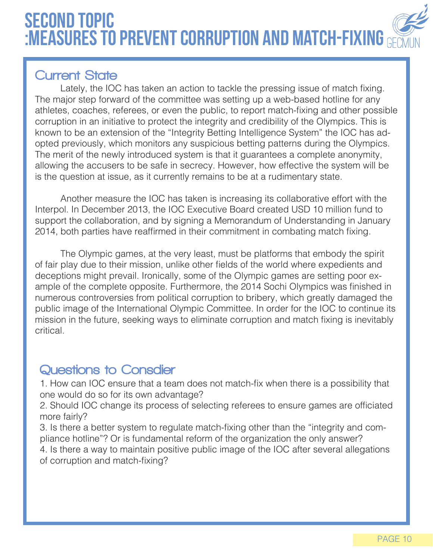## second topic :Measures to prevent corruption and match-fixing

### **Current State**

Lately, the IOC has taken an action to tackle the pressing issue of match fixing. The major step forward of the committee was setting up a web-based hotline for any athletes, coaches, referees, or even the public, to report match-fixing and other possible corruption in an initiative to protect the integrity and credibility of the Olympics. This is known to be an extension of the "Integrity Betting Intelligence System" the IOC has adopted previously, which monitors any suspicious betting patterns during the Olympics. The merit of the newly introduced system is that it guarantees a complete anonymity, allowing the accusers to be safe in secrecy. However, how effective the system will be is the question at issue, as it currently remains to be at a rudimentary state.

Another measure the IOC has taken is increasing its collaborative effort with the Interpol. In December 2013, the IOC Executive Board created USD 10 million fund to support the collaboration, and by signing a Memorandum of Understanding in January 2014, both parties have reaffirmed in their commitment in combating match fixing.

The Olympic games, at the very least, must be platforms that embody the spirit of fair play due to their mission, unlike other fields of the world where expedients and deceptions might prevail. Ironically, some of the Olympic games are setting poor example of the complete opposite. Furthermore, the 2014 Sochi Olympics was finished in numerous controversies from political corruption to bribery, which greatly damaged the public image of the International Olympic Committee. In order for the IOC to continue its mission in the future, seeking ways to eliminate corruption and match fixing is inevitably critical.

## Questions to Consdier

1. How can IOC ensure that a team does not match-fix when there is a possibility that one would do so for its own advantage?

2. Should IOC change its process of selecting referees to ensure games are officiated more fairly?

3. Is there a better system to regulate match-fixing other than the "integrity and compliance hotline"? Or is fundamental reform of the organization the only answer?

4. Is there a way to maintain positive public image of the IOC after several allegations of corruption and match-fixing?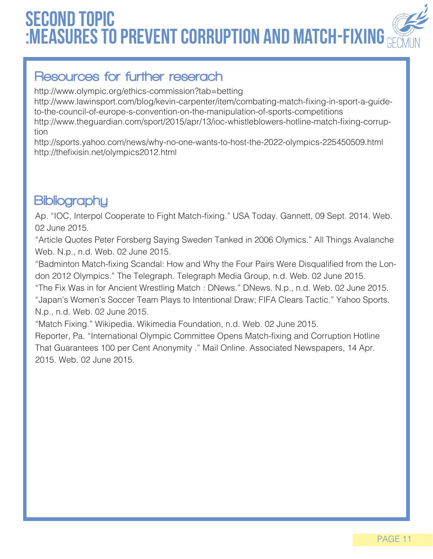## second topic :Measures to prevent corruption and match-fixing

### Resources for further reserach

http://www.olympic.org/ethics-commission?tab=betting

http://www.lawinsport.com/blog/kevin-carpenter/item/combating-match-fixing-in-sport-a-guideto-the-council-of-europe-s-convention-on-the-manipulation-of-sports-competitions

http://www.theguardian.com/sport/2015/apr/13/ioc-whistleblowers-hotline-match-fixing-corruption

http://sports.yahoo.com/news/why-no-one-wants-to-host-the-2022-olympics-225450509.html http://thefixisin.net/olympics2012.html

## **Bibliography**

Ap. "IOC, Interpol Cooperate to Fight Match-fixing." USA Today. Gannett, 09 Sept. 2014. Web. 02 June 2015.

"Article Quotes Peter Forsberg Saying Sweden Tanked in 2006 Olymics." All Things Avalanche Web. N.p., n.d. Web. 02 June 2015.

"Badminton Match-fixing Scandal: How and Why the Four Pairs Were Disqualified from the London 2012 Olympics." The Telegraph. Telegraph Media Group, n.d. Web. 02 June 2015.

"The Fix Was in for Ancient Wrestling Match : DNews." DNews. N.p., n.d. Web. 02 June 2015. "Japan's Women's Soccer Team Plays to Intentional Draw; FIFA Clears Tactic." Yahoo Sports. N.p., n.d. Web. 02 June 2015.

"Match Fixing." Wikipedia. Wikimedia Foundation, n.d. Web. 02 June 2015.

Reporter, Pa. "International Olympic Committee Opens Match-fixing and Corruption Hotline That Guarantees 100 per Cent Anonymity ." Mail Online. Associated Newspapers, 14 Apr. 2015. Web. 02 June 2015.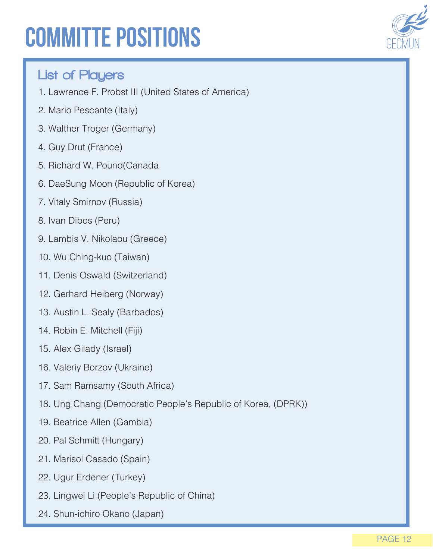## committe positions



### List of Players

- 1. Lawrence F. Probst III (United States of America)
- 2. Mario Pescante (Italy)
- 3. Walther Troger (Germany)
- 4. Guy Drut (France)
- 5. Richard W. Pound(Canada
- 6. DaeSung Moon (Republic of Korea)
- 7. Vitaly Smirnov (Russia)
- 8. Ivan Dibos (Peru)
- 9. Lambis V. Nikolaou (Greece)
- 10. Wu Ching-kuo (Taiwan)
- 11. Denis Oswald (Switzerland)
- 12. Gerhard Heiberg (Norway)
- 13. Austin L. Sealy (Barbados)
- 14. Robin E. Mitchell (Fiji)
- 15. Alex Gilady (Israel)
- 16. Valeriy Borzov (Ukraine)
- 17. Sam Ramsamy (South Africa)
- 18. Ung Chang (Democratic People's Republic of Korea, (DPRK))
- 19. Beatrice Allen (Gambia)
- 20. Pal Schmitt (Hungary)
- 21. Marisol Casado (Spain)
- 22. Ugur Erdener (Turkey)
- 23. Lingwei Li (People's Republic of China)
- 24. Shun-ichiro Okano (Japan)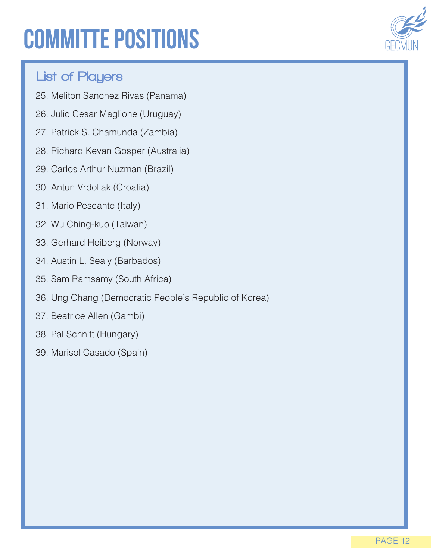## committe positions



### List of Players

- 25. Meliton Sanchez Rivas (Panama)
- 26. Julio Cesar Maglione (Uruguay)
- 27. Patrick S. Chamunda (Zambia)
- 28. Richard Kevan Gosper (Australia)
- 29. Carlos Arthur Nuzman (Brazil)
- 30. Antun Vrdoljak (Croatia)
- 31. Mario Pescante (Italy)
- 32. Wu Ching-kuo (Taiwan)
- 33. Gerhard Heiberg (Norway)
- 34. Austin L. Sealy (Barbados)
- 35. Sam Ramsamy (South Africa)
- 36. Ung Chang (Democratic People's Republic of Korea)
- 37. Beatrice Allen (Gambi)
- 38. Pal Schnitt (Hungary)
- 39. Marisol Casado (Spain)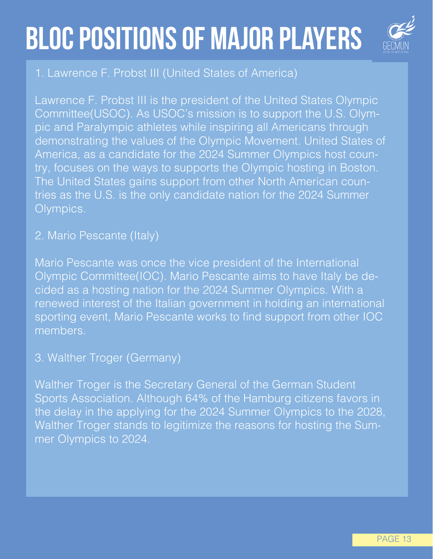## bloc positions of major players



### 1. Lawrence F. Probst III (United States of America)

Lawrence F. Probst III is the president of the United States Olympic Committee(USOC). As USOC's mission is to support the U.S. Olympic and Paralympic athletes while inspiring all Americans through demonstrating the values of the Olympic Movement. United States of America, as a candidate for the 2024 Summer Olympics host country, focuses on the ways to supports the Olympic hosting in Boston. The United States gains support from other North American countries as the U.S. is the only candidate nation for the 2024 Summer Olympics.

### 2. Mario Pescante (Italy)

Mario Pescante was once the vice president of the International Olympic Committee(IOC). Mario Pescante aims to have Italy be decided as a hosting nation for the 2024 Summer Olympics. With a renewed interest of the Italian government in holding an international sporting event, Mario Pescante works to find support from other IOC members.

### 3. Walther Troger (Germany)

Walther Troger is the Secretary General of the German Student Sports Association. Although 64% of the Hamburg citizens favors in the delay in the applying for the 2024 Summer Olympics to the 2028, Walther Troger stands to legitimize the reasons for hosting the Summer Olympics to 2024.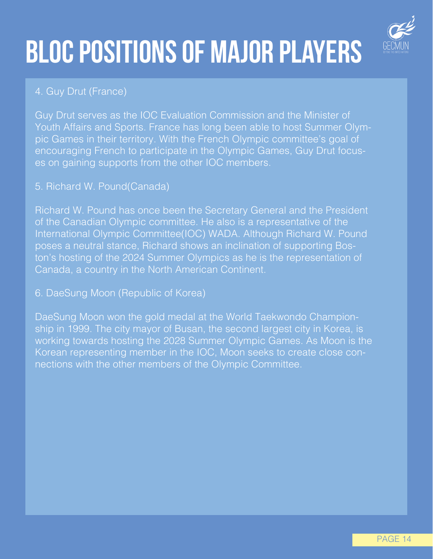## bloc positions of major players



#### 4. Guy Drut (France)

Guy Drut serves as the IOC Evaluation Commission and the Minister of Youth Affairs and Sports. France has long been able to host Summer Olympic Games in their territory. With the French Olympic committee's goal of encouraging French to participate in the Olympic Games, Guy Drut focuses on gaining supports from the other IOC members.

#### 5. Richard W. Pound(Canada)

Richard W. Pound has once been the Secretary General and the President of the Canadian Olympic committee. He also is a representative of the International Olympic Committee(IOC) WADA. Although Richard W. Pound poses a neutral stance, Richard shows an inclination of supporting Boston's hosting of the 2024 Summer Olympics as he is the representation of Canada, a country in the North American Continent.

#### 6. DaeSung Moon (Republic of Korea)

DaeSung Moon won the gold medal at the World Taekwondo Championship in 1999. The city mayor of Busan, the second largest city in Korea, is working towards hosting the 2028 Summer Olympic Games. As Moon is the Korean representing member in the IOC, Moon seeks to create close connections with the other members of the Olympic Committee.